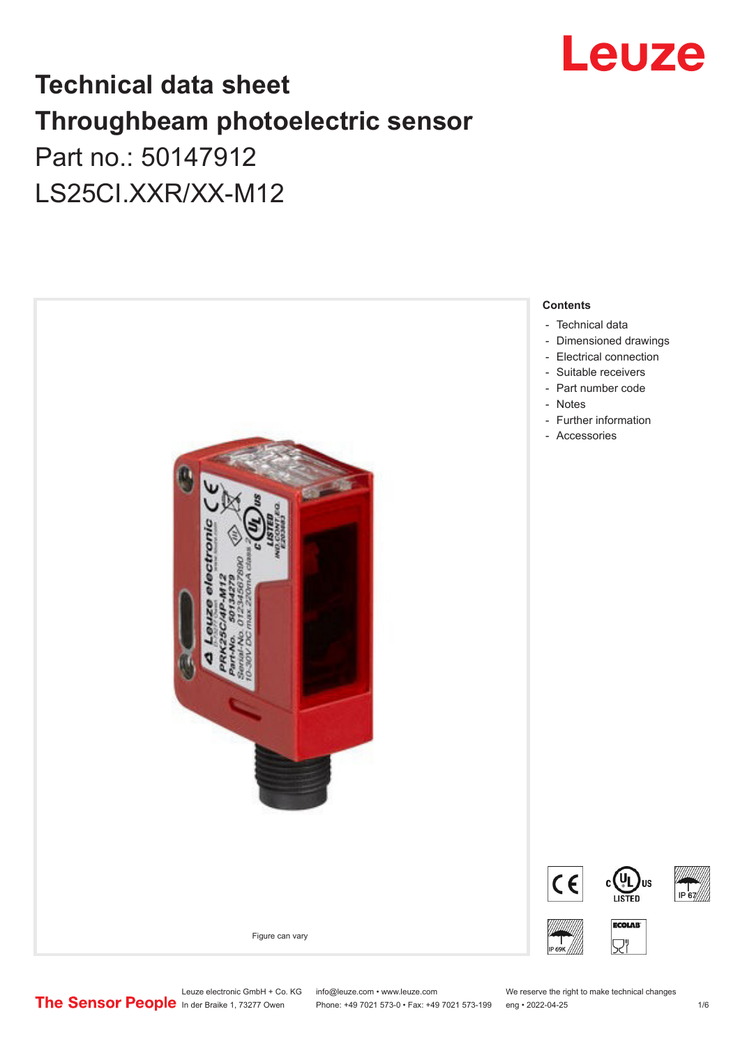

# **Technical data sheet Throughbeam photoelectric sensor**  Part no.: 50147912 LS25CI.XXR/XX-M12



Leuze electronic GmbH + Co. KG info@leuze.com • www.leuze.com We reserve the right to make technical changes<br>
The Sensor People in der Braike 1, 73277 Owen Phone: +49 7021 573-0 • Fax: +49 7021 573-199 eng • 2022-04-25

Phone: +49 7021 573-0 • Fax: +49 7021 573-199 eng • 2022-04-25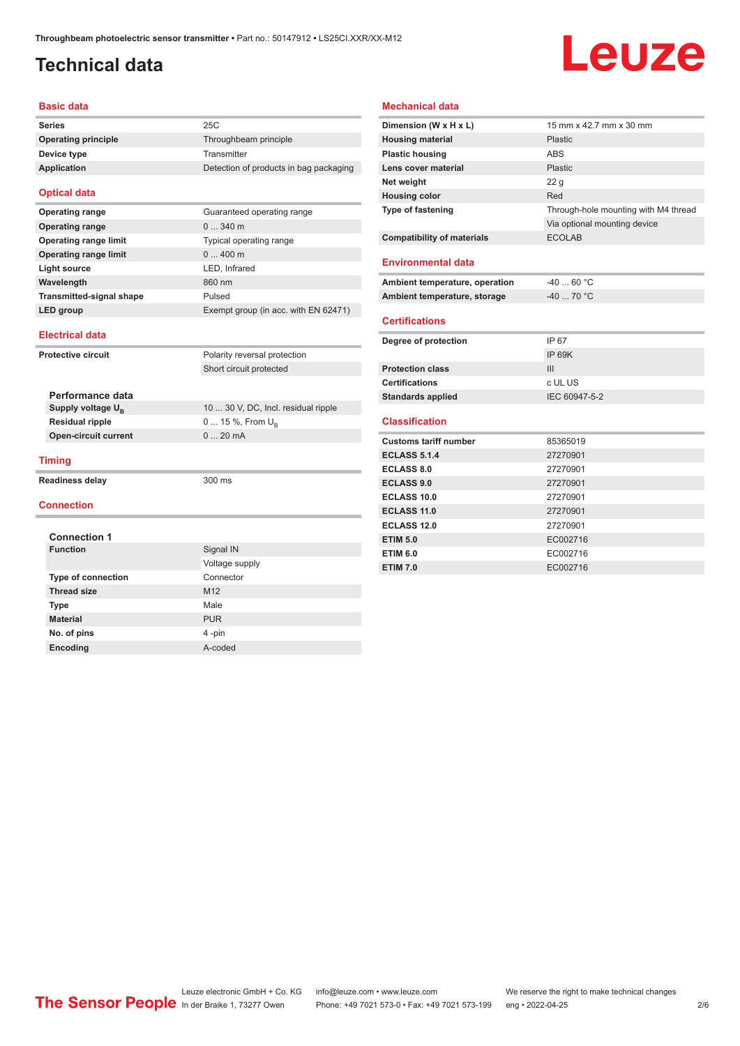## <span id="page-1-0"></span>**Technical data**

# Leuze

#### **Basic data**

| <b>Series</b>       | 25C                                    |
|---------------------|----------------------------------------|
| Operating principle | Throughbeam principle                  |
| Device type         | Transmitter                            |
| Application         | Detection of products in bag packaging |
|                     |                                        |

#### **Optical data**

| <b>Operating range</b>          | Guaranteed operating range           |
|---------------------------------|--------------------------------------|
| <b>Operating range</b>          | $0340$ m                             |
| <b>Operating range limit</b>    | Typical operating range              |
| <b>Operating range limit</b>    | $0400$ m                             |
| Light source                    | LED, Infrared                        |
| Wavelength                      | 860 nm                               |
| <b>Transmitted-signal shape</b> | Pulsed                               |
| LED group                       | Exempt group (in acc. with EN 62471) |

| <b>Electrical data</b>    |                             |                                     |  |  |
|---------------------------|-----------------------------|-------------------------------------|--|--|
| <b>Protective circuit</b> |                             | Polarity reversal protection        |  |  |
|                           |                             | Short circuit protected             |  |  |
|                           | Performance data            |                                     |  |  |
|                           | Supply voltage $U_{B}$      | 10  30 V, DC, Incl. residual ripple |  |  |
|                           | <b>Residual ripple</b>      | $0 15 \%$ , From $U_{\rm B}$        |  |  |
|                           | <b>Open-circuit current</b> | $020$ mA                            |  |  |
| <b>Timing</b>             |                             |                                     |  |  |
| <b>Readiness delay</b>    |                             | $300 \text{ ms}$                    |  |  |
| <b>Connection</b>         |                             |                                     |  |  |

| <b>Connection 1</b>       |                 |  |  |  |
|---------------------------|-----------------|--|--|--|
| <b>Function</b>           | Signal IN       |  |  |  |
|                           | Voltage supply  |  |  |  |
| <b>Type of connection</b> | Connector       |  |  |  |
| <b>Thread size</b>        | M <sub>12</sub> |  |  |  |
| <b>Type</b>               | Male            |  |  |  |
| <b>Material</b>           | <b>PUR</b>      |  |  |  |
| No. of pins               | 4-pin           |  |  |  |
| Encoding                  | A-coded         |  |  |  |

#### **Mechanical data**

| Dimension (W x H x L)             | 15 mm x 42.7 mm x 30 mm              |
|-----------------------------------|--------------------------------------|
| <b>Housing material</b>           | Plastic                              |
| <b>Plastic housing</b>            | <b>ABS</b>                           |
| Lens cover material               | Plastic                              |
| Net weight                        | 22 <sub>g</sub>                      |
| <b>Housing color</b>              | Red                                  |
| <b>Type of fastening</b>          | Through-hole mounting with M4 thread |
|                                   | Via optional mounting device         |
| <b>Compatibility of materials</b> | <b>ECOLAB</b>                        |
|                                   |                                      |
| Environmental data                |                                      |
| Ambient temperature, operation    | $-4060 °C$                           |
| Ambient temperature, storage      | $-40$ 70 °C                          |
|                                   |                                      |
| <b>Certifications</b>             |                                      |
| Degree of protection              | IP 67                                |
|                                   | <b>IP 69K</b>                        |
| <b>Protection class</b>           | III                                  |
| <b>Certifications</b>             | c UL US                              |
| <b>Standards applied</b>          | IEC 60947-5-2                        |
|                                   |                                      |
| <b>Classification</b>             |                                      |
| <b>Customs tariff number</b>      | 85365019                             |
| <b>ECLASS 5.1.4</b>               | 27270901                             |
| <b>ECLASS 8.0</b>                 | 27270901                             |
| <b>ECLASS 9.0</b>                 | 27270901                             |
| <b>ECLASS 10.0</b>                | 27270901                             |
| <b>ECLASS 11.0</b>                | 27270901                             |
| <b>ECLASS 12.0</b>                | 27270901                             |
| <b>ETIM 5.0</b>                   | EC002716                             |
| <b>ETIM 6.0</b>                   | EC002716                             |
| <b>ETIM 7.0</b>                   | EC002716                             |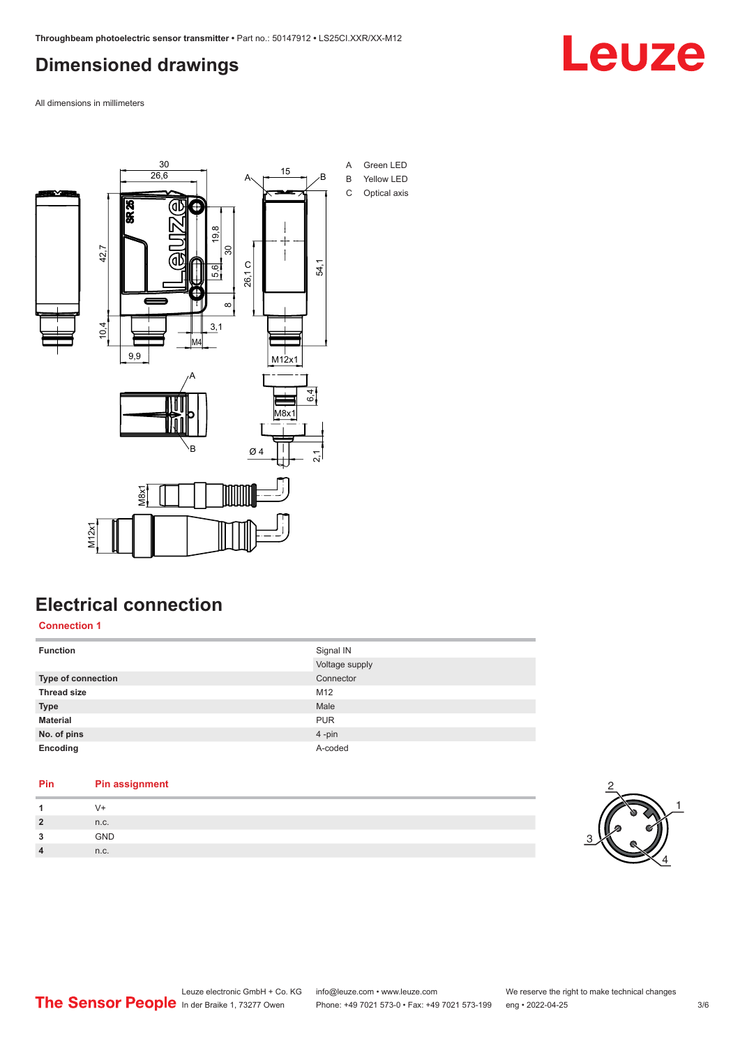### <span id="page-2-0"></span>**Dimensioned drawings**

Leuze

All dimensions in millimeters



### **Electrical connection**

**Connection 1**

| <b>Function</b>    | Signal IN<br>Voltage supply |
|--------------------|-----------------------------|
| Type of connection | Connector                   |
| <b>Thread size</b> | M12                         |
| <b>Type</b>        | Male                        |
| <b>Material</b>    | <b>PUR</b>                  |
| No. of pins        | 4-pin                       |
| Encoding           | A-coded                     |

| Pin            | <b>Pin assignment</b> |
|----------------|-----------------------|
|                | V+                    |
| $\overline{2}$ | n.c.                  |
| 3              | <b>GND</b>            |
| $\overline{4}$ | n.c.                  |

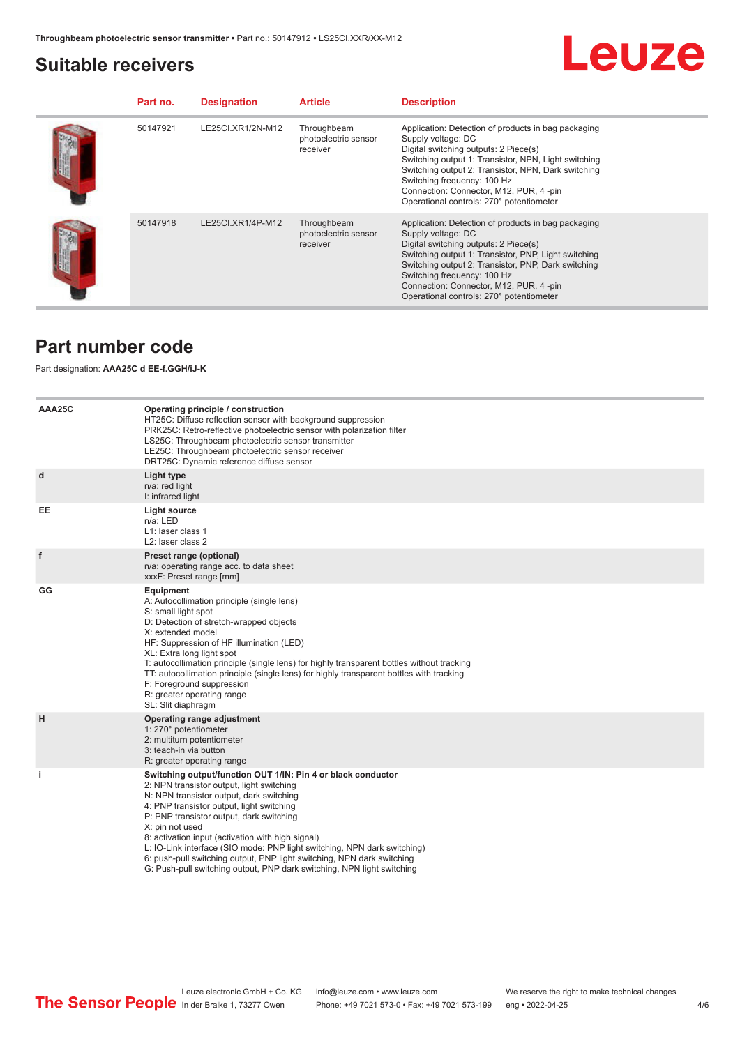#### <span id="page-3-0"></span>**Suitable receivers**



| Part no. | <b>Designation</b> | <b>Article</b>                                  | <b>Description</b>                                                                                                                                                                                                                                                                                                                                      |
|----------|--------------------|-------------------------------------------------|---------------------------------------------------------------------------------------------------------------------------------------------------------------------------------------------------------------------------------------------------------------------------------------------------------------------------------------------------------|
| 50147921 | LE25CI.XR1/2N-M12  | Throughbeam<br>photoelectric sensor<br>receiver | Application: Detection of products in bag packaging<br>Supply voltage: DC<br>Digital switching outputs: 2 Piece(s)<br>Switching output 1: Transistor, NPN, Light switching<br>Switching output 2: Transistor, NPN, Dark switching<br>Switching frequency: 100 Hz<br>Connection: Connector, M12, PUR, 4-pin<br>Operational controls: 270° potentiometer  |
| 50147918 | LE25CI.XR1/4P-M12  | Throughbeam<br>photoelectric sensor<br>receiver | Application: Detection of products in bag packaging<br>Supply voltage: DC<br>Digital switching outputs: 2 Piece(s)<br>Switching output 1: Transistor, PNP, Light switching<br>Switching output 2: Transistor, PNP, Dark switching<br>Switching frequency: 100 Hz<br>Connection: Connector, M12, PUR, 4 -pin<br>Operational controls: 270° potentiometer |

#### **Part number code**

#### Part designation: **AAA25C d EE-f.GGH/iJ-K**

| AAA25C    | Operating principle / construction<br>HT25C: Diffuse reflection sensor with background suppression<br>PRK25C: Retro-reflective photoelectric sensor with polarization filter<br>LS25C: Throughbeam photoelectric sensor transmitter<br>LE25C: Throughbeam photoelectric sensor receiver<br>DRT25C: Dynamic reference diffuse sensor                                                                                                                                                                                                                    |
|-----------|--------------------------------------------------------------------------------------------------------------------------------------------------------------------------------------------------------------------------------------------------------------------------------------------------------------------------------------------------------------------------------------------------------------------------------------------------------------------------------------------------------------------------------------------------------|
| d         | Light type<br>n/a: red light<br>I: infrared light                                                                                                                                                                                                                                                                                                                                                                                                                                                                                                      |
| <b>EE</b> | <b>Light source</b><br>n/a: LED<br>L1: laser class 1<br>L <sub>2</sub> : laser class 2                                                                                                                                                                                                                                                                                                                                                                                                                                                                 |
| f         | Preset range (optional)<br>n/a: operating range acc. to data sheet<br>xxxF: Preset range [mm]                                                                                                                                                                                                                                                                                                                                                                                                                                                          |
| GG        | Equipment<br>A: Autocollimation principle (single lens)<br>S: small light spot<br>D: Detection of stretch-wrapped objects<br>X: extended model<br>HF: Suppression of HF illumination (LED)<br>XL: Extra long light spot<br>T: autocollimation principle (single lens) for highly transparent bottles without tracking<br>TT: autocollimation principle (single lens) for highly transparent bottles with tracking<br>F: Foreground suppression<br>R: greater operating range<br>SL: Slit diaphragm                                                     |
| H         | Operating range adjustment<br>1: 270° potentiometer<br>2: multiturn potentiometer<br>3: teach-in via button<br>R: greater operating range                                                                                                                                                                                                                                                                                                                                                                                                              |
| j.        | Switching output/function OUT 1/IN: Pin 4 or black conductor<br>2: NPN transistor output, light switching<br>N: NPN transistor output, dark switching<br>4: PNP transistor output, light switching<br>P: PNP transistor output, dark switching<br>X: pin not used<br>8: activation input (activation with high signal)<br>L: IO-Link interface (SIO mode: PNP light switching, NPN dark switching)<br>6: push-pull switching output, PNP light switching, NPN dark switching<br>G: Push-pull switching output, PNP dark switching, NPN light switching |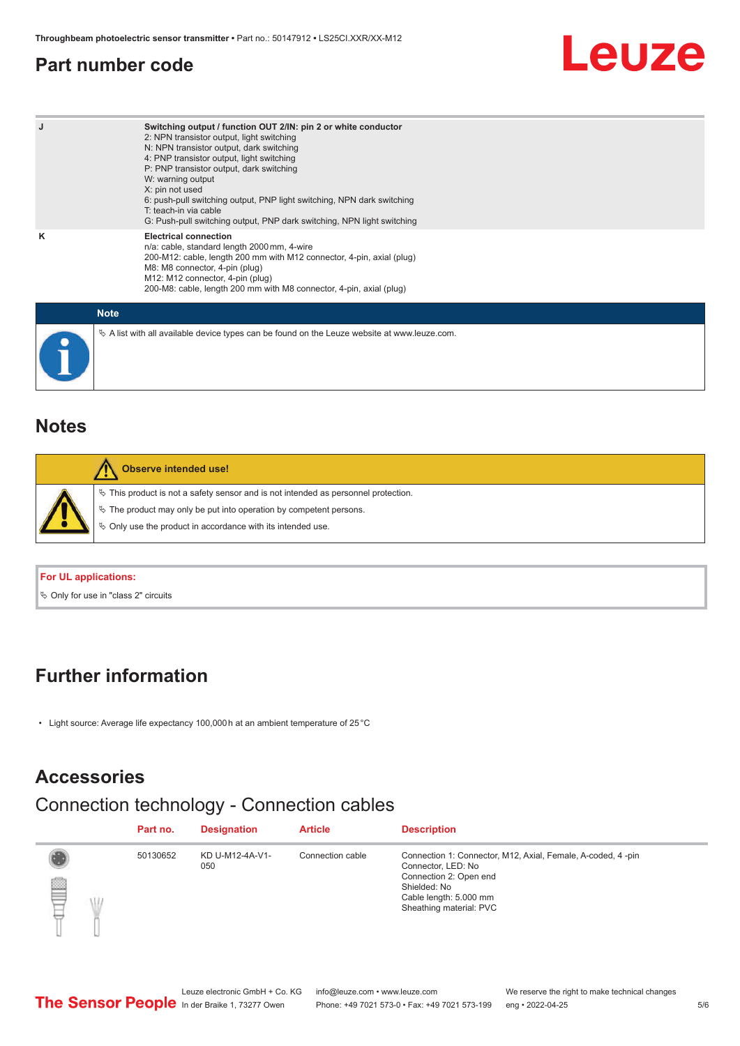#### <span id="page-4-0"></span>**Part number code**

# Leuze

| J           | Switching output / function OUT 2/IN: pin 2 or white conductor<br>2: NPN transistor output, light switching<br>N: NPN transistor output, dark switching<br>4: PNP transistor output, light switching<br>P: PNP transistor output, dark switching<br>W: warning output<br>X: pin not used<br>6: push-pull switching output, PNP light switching, NPN dark switching<br>T: teach-in via cable<br>G: Push-pull switching output, PNP dark switching, NPN light switching |
|-------------|-----------------------------------------------------------------------------------------------------------------------------------------------------------------------------------------------------------------------------------------------------------------------------------------------------------------------------------------------------------------------------------------------------------------------------------------------------------------------|
| κ           | <b>Electrical connection</b><br>n/a: cable, standard length 2000 mm, 4-wire<br>200-M12: cable, length 200 mm with M12 connector, 4-pin, axial (plug)<br>M8: M8 connector, 4-pin (plug)<br>M12: M12 connector, 4-pin (plug)<br>200-M8: cable, length 200 mm with M8 connector, 4-pin, axial (plug)                                                                                                                                                                     |
| <b>Note</b> |                                                                                                                                                                                                                                                                                                                                                                                                                                                                       |

 $\%$  A list with all available device types can be found on the Leuze website at www.leuze.com.

# **Notes**

| <b>Observe intended use!</b>                                                                                                                                                                                                     |
|----------------------------------------------------------------------------------------------------------------------------------------------------------------------------------------------------------------------------------|
| $\%$ This product is not a safety sensor and is not intended as personnel protection.<br>$\%$ The product may only be put into operation by competent persons.<br>$\%$ Only use the product in accordance with its intended use. |
|                                                                                                                                                                                                                                  |

#### **For UL applications:**

 $\%$  Only for use in "class 2" circuits

#### **Further information**

• Light source: Average life expectancy 100,000 h at an ambient temperature of 25 °C

#### **Accessories**

### Connection technology - Connection cables

|               | Part no. | <b>Designation</b>     | <b>Article</b>   | <b>Description</b>                                                                                                                                                               |
|---------------|----------|------------------------|------------------|----------------------------------------------------------------------------------------------------------------------------------------------------------------------------------|
| ₩<br>UI.<br>₽ | 50130652 | KD U-M12-4A-V1-<br>050 | Connection cable | Connection 1: Connector, M12, Axial, Female, A-coded, 4-pin<br>Connector, LED: No<br>Connection 2: Open end<br>Shielded: No<br>Cable length: 5.000 mm<br>Sheathing material: PVC |